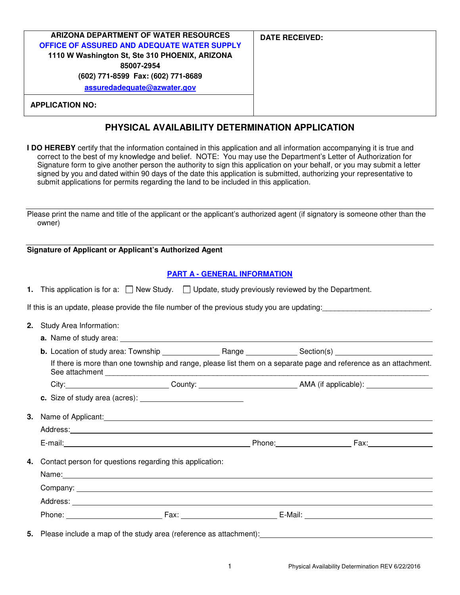| ARIZONA DEPARTMENT OF WATER RESOURCES          | <b>DATE RECEIVED:</b> |
|------------------------------------------------|-----------------------|
| OFFICE OF ASSURED AND ADEQUATE WATER SUPPLY    |                       |
| 1110 W Washington St, Ste 310 PHOENIX, ARIZONA |                       |
| 85007-2954                                     |                       |
| (602) 771-8599 Fax: (602) 771-8689             |                       |
| assuredadequate@azwater.gov                    |                       |
|                                                |                       |
| <b>APPLICATION NO:</b>                         |                       |

# **PHYSICAL AVAILABILITY DETERMINATION APPLICATION**

**I DO HEREBY** certify that the information contained in this application and all information accompanying it is true and correct to the best of my knowledge and belief. NOTE: You may use the Department's Letter of Authorization for Signature form to give another person the authority to sign this application on your behalf, or you may submit a letter signed by you and dated within 90 days of the date this application is submitted, authorizing your representative to submit applications for permits regarding the land to be included in this application.

Please print the name and title of the applicant or the applicant's authorized agent (if signatory is someone other than the owner)

#### **Signature of Applicant or Applicant's Authorized Agent**

## **PART A - GENERAL INFORMATION**

|  |  |  | This application is for a: $\Box$ New Study. $\Box$ Update, study previously reviewed by the Department |
|--|--|--|---------------------------------------------------------------------------------------------------------|
|--|--|--|---------------------------------------------------------------------------------------------------------|

If this is an update, please provide the file number of the previous study you are updating:

- **2.** Study Area Information:
	- **a.** Name of study area:

**b.** Location of study area: Township Range Range Section(s) If there is more than one township and range, please list them on a separate page and reference as an attachment. See attachment

City: City: County: County: County: County: City: AMA (if applicable):

**c.** Size of study area (acres):

**3.** Name of Applicant: Address: E-mail: Phone: Fax: **4.** Contact person for questions regarding this application: Name: Company: Address:

**5.** Please include a map of the study area (reference as attachment):

Phone: Fax: Fax: E-Mail: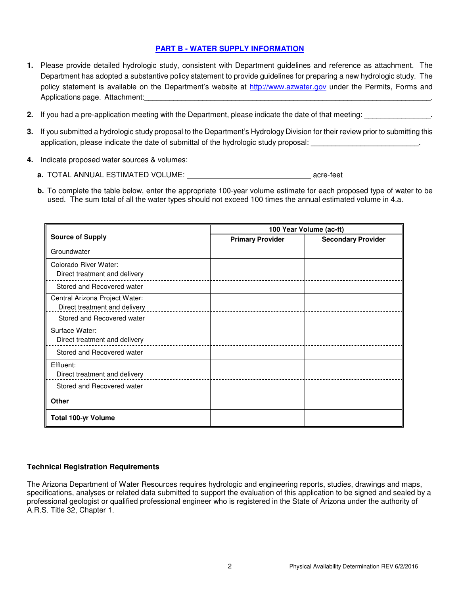## **PART B - WATER SUPPLY INFORMATION**

- **1.** Please provide detailed hydrologic study, consistent with Department guidelines and reference as attachment. The Department has adopted a substantive policy statement to provide guidelines for preparing a new hydrologic study. The policy statement is available on the Department's website at http://www.azwater.gov under the Permits, Forms and Applications page. Attachment:
- **2.** If you had a pre-application meeting with the Department, please indicate the date of that meeting:
- **3.** If you submitted a hydrologic study proposal to the Department's Hydrology Division for their review prior to submitting this application, please indicate the date of submittal of the hydrologic study proposal:
- **4.** Indicate proposed water sources & volumes:
	- **a.** TOTAL ANNUAL ESTIMATED VOLUME: **acreaming the state of the state of the state of the state of the state of the state of the state of the state of the state of the state of the state of the state of the state of the st**
	- **b.** To complete the table below, enter the appropriate 100-year volume estimate for each proposed type of water to be used. The sum total of all the water types should not exceed 100 times the annual estimated volume in 4.a.

|                                                                 | 100 Year Volume (ac-ft) |                           |  |
|-----------------------------------------------------------------|-------------------------|---------------------------|--|
| <b>Source of Supply</b>                                         | <b>Primary Provider</b> | <b>Secondary Provider</b> |  |
| Groundwater                                                     |                         |                           |  |
| Colorado River Water:<br>Direct treatment and delivery          |                         |                           |  |
| Stored and Recovered water                                      |                         |                           |  |
| Central Arizona Project Water:<br>Direct treatment and delivery |                         |                           |  |
| Stored and Recovered water                                      |                         |                           |  |
| Surface Water:<br>Direct treatment and delivery                 |                         |                           |  |
| Stored and Recovered water                                      |                         |                           |  |
| Effluent:<br>Direct treatment and delivery                      |                         |                           |  |
| Stored and Recovered water                                      |                         |                           |  |
| <b>Other</b>                                                    |                         |                           |  |
| <b>Total 100-yr Volume</b>                                      |                         |                           |  |

#### **Technical Registration Requirements**

The Arizona Department of Water Resources requires hydrologic and engineering reports, studies, drawings and maps, specifications, analyses or related data submitted to support the evaluation of this application to be signed and sealed by a professional geologist or qualified professional engineer who is registered in the State of Arizona under the authority of A.R.S. Title 32, Chapter 1.